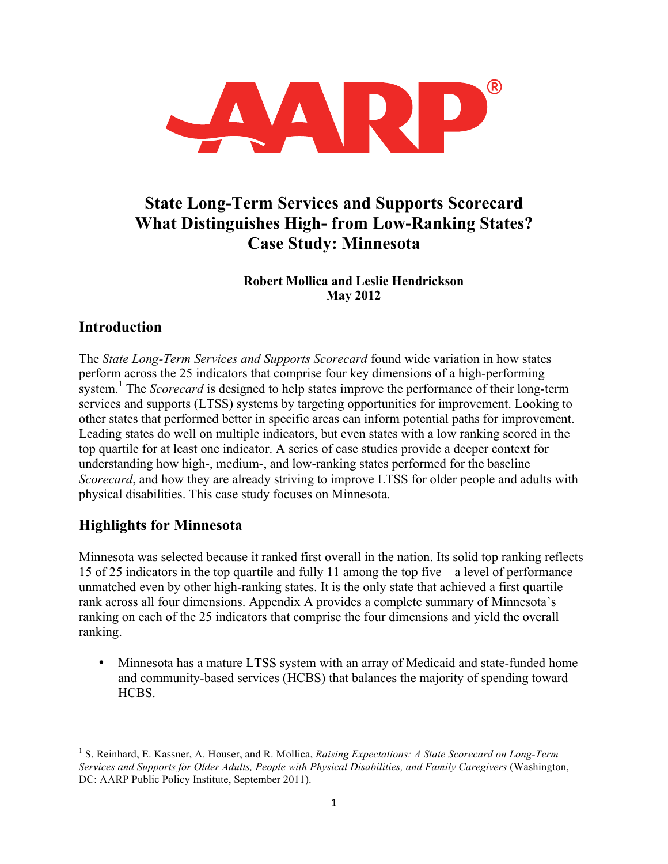

# **State Long-Term Services and Supports Scorecard What Distinguishes High- from Low-Ranking States? Case Study: Minnesota**

#### **Robert Mollica and Leslie Hendrickson May 2012**

## **Introduction**

The *State Long-Term Services and Supports Scorecard* found wide variation in how states perform across the 25 indicators that comprise four key dimensions of a high-performing system.<sup>1</sup> The *Scorecard* is designed to help states improve the performance of their long-term services and supports (LTSS) systems by targeting opportunities for improvement. Looking to other states that performed better in specific areas can inform potential paths for improvement. Leading states do well on multiple indicators, but even states with a low ranking scored in the top quartile for at least one indicator. A series of case studies provide a deeper context for understanding how high-, medium-, and low-ranking states performed for the baseline *Scorecard*, and how they are already striving to improve LTSS for older people and adults with physical disabilities. This case study focuses on Minnesota.

## **Highlights for Minnesota**

Minnesota was selected because it ranked first overall in the nation. Its solid top ranking reflects 15 of 25 indicators in the top quartile and fully 11 among the top five—a level of performance unmatched even by other high-ranking states. It is the only state that achieved a first quartile rank across all four dimensions. Appendix A provides a complete summary of Minnesota's ranking on each of the 25 indicators that comprise the four dimensions and yield the overall ranking.

• Minnesota has a mature LTSS system with an array of Medicaid and state-funded home and community-based services (HCBS) that balances the majority of spending toward HCBS.

 <sup>1</sup> S. Reinhard, E. Kassner, A. Houser, and R. Mollica, *Raising Expectations: A State Scorecard on Long-Term Services and Supports for Older Adults, People with Physical Disabilities, and Family Caregivers* (Washington, DC: AARP Public Policy Institute, September 2011).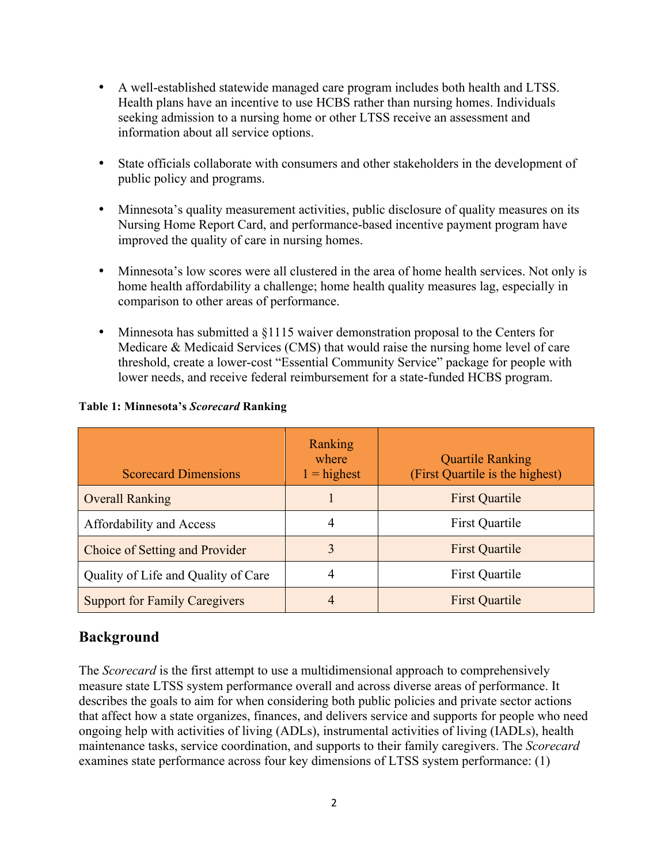- A well-established statewide managed care program includes both health and LTSS. Health plans have an incentive to use HCBS rather than nursing homes. Individuals seeking admission to a nursing home or other LTSS receive an assessment and information about all service options.
- State officials collaborate with consumers and other stakeholders in the development of public policy and programs.
- Minnesota's quality measurement activities, public disclosure of quality measures on its Nursing Home Report Card, and performance-based incentive payment program have improved the quality of care in nursing homes.
- Minnesota's low scores were all clustered in the area of home health services. Not only is home health affordability a challenge; home health quality measures lag, especially in comparison to other areas of performance.
- Minnesota has submitted a §1115 waiver demonstration proposal to the Centers for Medicare & Medicaid Services (CMS) that would raise the nursing home level of care threshold, create a lower-cost "Essential Community Service" package for people with lower needs, and receive federal reimbursement for a state-funded HCBS program.

| <b>Scorecard Dimensions</b>          | Ranking<br>where<br>$1 =$ highest | <b>Quartile Ranking</b><br>(First Quartile is the highest) |
|--------------------------------------|-----------------------------------|------------------------------------------------------------|
| <b>Overall Ranking</b>               |                                   | <b>First Quartile</b>                                      |
| Affordability and Access             | 4                                 | First Quartile                                             |
| Choice of Setting and Provider       | 3                                 | <b>First Quartile</b>                                      |
| Quality of Life and Quality of Care  | 4                                 | First Quartile                                             |
| <b>Support for Family Caregivers</b> | 4                                 | <b>First Quartile</b>                                      |

#### **Table 1: Minnesota's** *Scorecard* **Ranking**

### **Background**

The *Scorecard* is the first attempt to use a multidimensional approach to comprehensively measure state LTSS system performance overall and across diverse areas of performance. It describes the goals to aim for when considering both public policies and private sector actions that affect how a state organizes, finances, and delivers service and supports for people who need ongoing help with activities of living (ADLs), instrumental activities of living (IADLs), health maintenance tasks, service coordination, and supports to their family caregivers. The *Scorecard* examines state performance across four key dimensions of LTSS system performance: (1)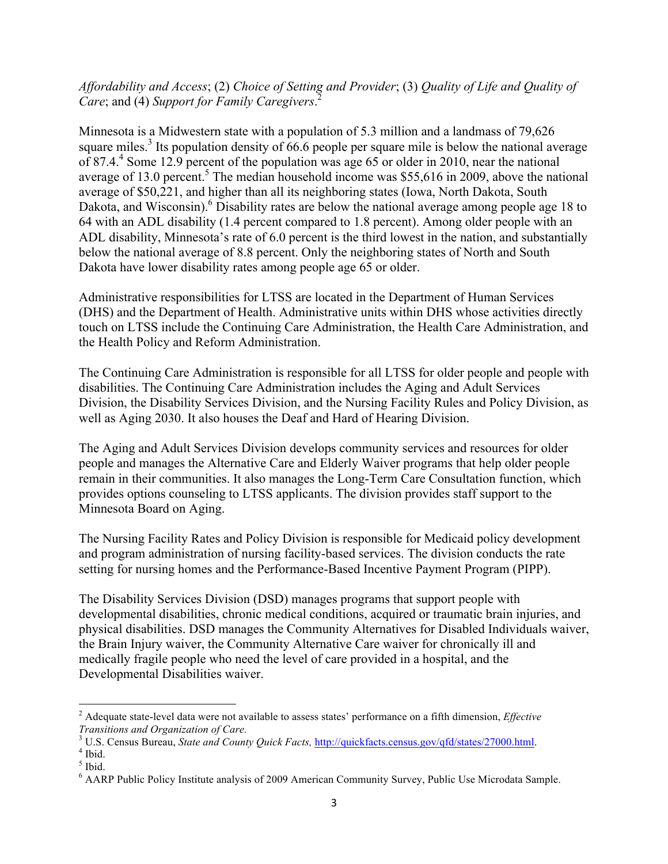#### *Affordability and Access*; (2) *Choice of Setting and Provider*; (3) *Quality of Life and Quality of Care*; and (4) *Support for Family Caregivers*. 2

Minnesota is a Midwestern state with a population of 5.3 million and a landmass of 79,626 square miles.<sup>3</sup> Its population density of 66.6 people per square mile is below the national average of 87.4.4 Some 12.9 percent of the population was age 65 or older in 2010, near the national average of 13.0 percent.<sup>5</sup> The median household income was \$55,616 in 2009, above the national average of \$50,221, and higher than all its neighboring states (Iowa, North Dakota, South Dakota, and Wisconsin).<sup>6</sup> Disability rates are below the national average among people age 18 to 64 with an ADL disability (1.4 percent compared to 1.8 percent). Among older people with an ADL disability, Minnesota's rate of 6.0 percent is the third lowest in the nation, and substantially below the national average of 8.8 percent. Only the neighboring states of North and South Dakota have lower disability rates among people age 65 or older.

Administrative responsibilities for LTSS are located in the Department of Human Services (DHS) and the Department of Health. Administrative units within DHS whose activities directly touch on LTSS include the Continuing Care Administration, the Health Care Administration, and the Health Policy and Reform Administration.

The Continuing Care Administration is responsible for all LTSS for older people and people with disabilities. The Continuing Care Administration includes the Aging and Adult Services Division, the Disability Services Division, and the Nursing Facility Rules and Policy Division, as well as Aging 2030. It also houses the Deaf and Hard of Hearing Division.

The Aging and Adult Services Division develops community services and resources for older people and manages the Alternative Care and Elderly Waiver programs that help older people remain in their communities. It also manages the Long-Term Care Consultation function, which provides options counseling to LTSS applicants. The division provides staff support to the Minnesota Board on Aging.

The Nursing Facility Rates and Policy Division is responsible for Medicaid policy development and program administration of nursing facility-based services. The division conducts the rate setting for nursing homes and the Performance-Based Incentive Payment Program (PIPP).

The Disability Services Division (DSD) manages programs that support people with developmental disabilities, chronic medical conditions, acquired or traumatic brain injuries, and physical disabilities. DSD manages the Community Alternatives for Disabled Individuals waiver, the Brain Injury waiver, the Community Alternative Care waiver for chronically ill and medically fragile people who need the level of care provided in a hospital, and the Developmental Disabilities waiver.

 <sup>2</sup> Adequate state-level data were not available to assess states' performance on a fifth dimension, *Effective Transitions and Organization of Care.*

<sup>3</sup> U.S. Census Bureau, *State and County Quick Facts,* http://quickfacts.census.gov/qfd/states/27000.html. 4 Ibid.

 $<sup>5</sup>$  Ibid.</sup>

<sup>6</sup> AARP Public Policy Institute analysis of 2009 American Community Survey, Public Use Microdata Sample.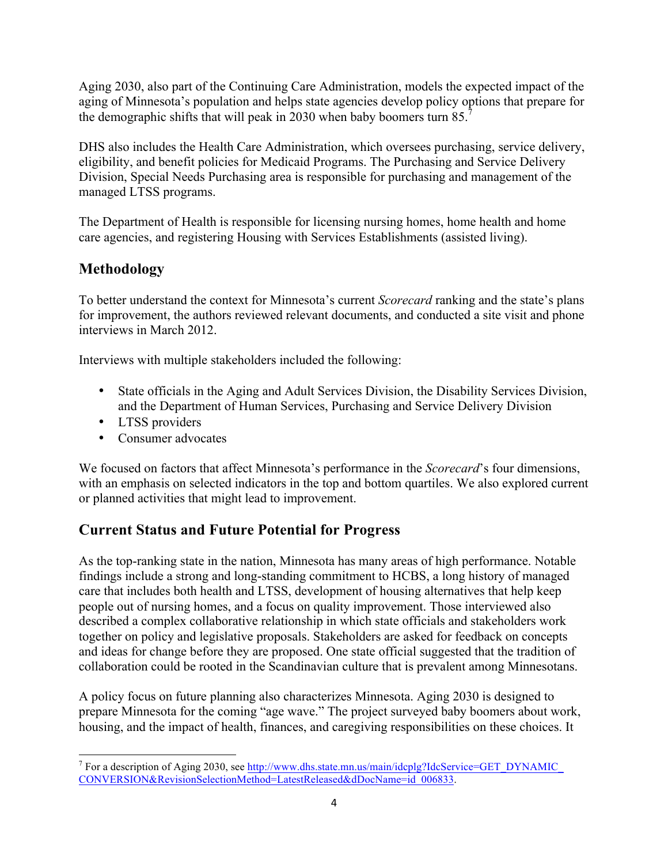Aging 2030, also part of the Continuing Care Administration, models the expected impact of the aging of Minnesota's population and helps state agencies develop policy options that prepare for the demographic shifts that will peak in 2030 when baby boomers turn 85.<sup>7</sup>

DHS also includes the Health Care Administration, which oversees purchasing, service delivery, eligibility, and benefit policies for Medicaid Programs. The Purchasing and Service Delivery Division, Special Needs Purchasing area is responsible for purchasing and management of the managed LTSS programs.

The Department of Health is responsible for licensing nursing homes, home health and home care agencies, and registering Housing with Services Establishments (assisted living).

## **Methodology**

To better understand the context for Minnesota's current *Scorecard* ranking and the state's plans for improvement, the authors reviewed relevant documents, and conducted a site visit and phone interviews in March 2012.

Interviews with multiple stakeholders included the following:

- State officials in the Aging and Adult Services Division, the Disability Services Division, and the Department of Human Services, Purchasing and Service Delivery Division
- LTSS providers
- Consumer advocates

We focused on factors that affect Minnesota's performance in the *Scorecard*'s four dimensions, with an emphasis on selected indicators in the top and bottom quartiles. We also explored current or planned activities that might lead to improvement.

## **Current Status and Future Potential for Progress**

As the top-ranking state in the nation, Minnesota has many areas of high performance. Notable findings include a strong and long-standing commitment to HCBS, a long history of managed care that includes both health and LTSS, development of housing alternatives that help keep people out of nursing homes, and a focus on quality improvement. Those interviewed also described a complex collaborative relationship in which state officials and stakeholders work together on policy and legislative proposals. Stakeholders are asked for feedback on concepts and ideas for change before they are proposed. One state official suggested that the tradition of collaboration could be rooted in the Scandinavian culture that is prevalent among Minnesotans.

A policy focus on future planning also characterizes Minnesota. Aging 2030 is designed to prepare Minnesota for the coming "age wave." The project surveyed baby boomers about work, housing, and the impact of health, finances, and caregiving responsibilities on these choices. It

<sup>&</sup>lt;sup>7</sup> For a description of Aging 2030, see  $\frac{http://www.dhs.state.mn.us/main/ideplg?IdcService=GET$  DYNAMIC CONVERSION&RevisionSelectionMethod=LatestReleased&dDocName=id\_006833.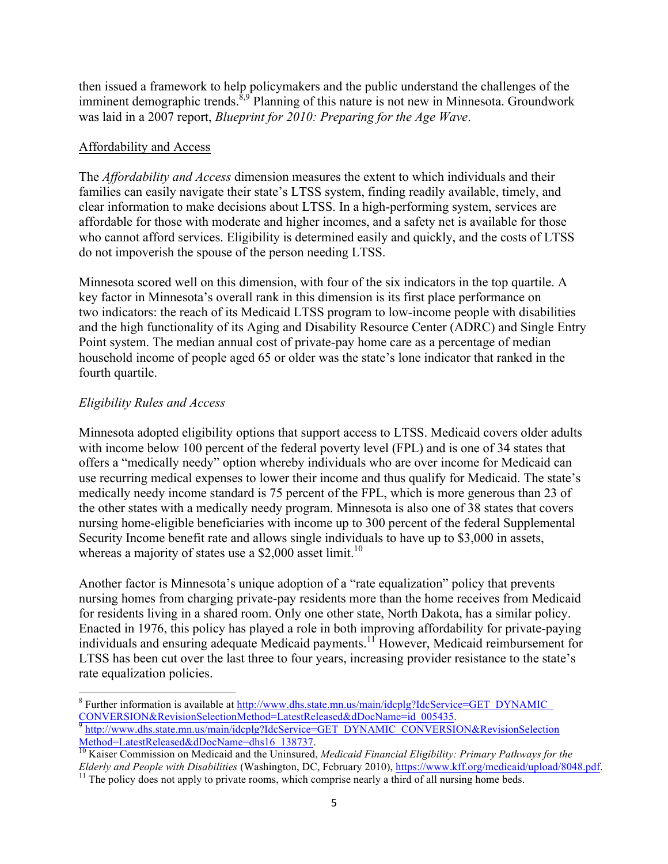then issued a framework to help policymakers and the public understand the challenges of the imminent demographic trends. $\frac{8,9}{9}$ Planning of this nature is not new in Minnesota. Groundwork was laid in a 2007 report, *Blueprint for 2010: Preparing for the Age Wave*.

#### Affordability and Access

The *Affordability and Access* dimension measures the extent to which individuals and their families can easily navigate their state's LTSS system, finding readily available, timely, and clear information to make decisions about LTSS. In a high-performing system, services are affordable for those with moderate and higher incomes, and a safety net is available for those who cannot afford services. Eligibility is determined easily and quickly, and the costs of LTSS do not impoverish the spouse of the person needing LTSS.

Minnesota scored well on this dimension, with four of the six indicators in the top quartile. A key factor in Minnesota's overall rank in this dimension is its first place performance on two indicators: the reach of its Medicaid LTSS program to low-income people with disabilities and the high functionality of its Aging and Disability Resource Center (ADRC) and Single Entry Point system. The median annual cost of private-pay home care as a percentage of median household income of people aged 65 or older was the state's lone indicator that ranked in the fourth quartile.

#### *Eligibility Rules and Access*

Minnesota adopted eligibility options that support access to LTSS. Medicaid covers older adults with income below 100 percent of the federal poverty level (FPL) and is one of 34 states that offers a "medically needy" option whereby individuals who are over income for Medicaid can use recurring medical expenses to lower their income and thus qualify for Medicaid. The state's medically needy income standard is 75 percent of the FPL, which is more generous than 23 of the other states with a medically needy program. Minnesota is also one of 38 states that covers nursing home-eligible beneficiaries with income up to 300 percent of the federal Supplemental Security Income benefit rate and allows single individuals to have up to \$3,000 in assets, whereas a majority of states use a \$2,000 asset limit.<sup>10</sup>

Another factor is Minnesota's unique adoption of a "rate equalization" policy that prevents nursing homes from charging private-pay residents more than the home receives from Medicaid for residents living in a shared room. Only one other state, North Dakota, has a similar policy. Enacted in 1976, this policy has played a role in both improving affordability for private-paying individuals and ensuring adequate Medicaid payments.<sup>11</sup> However, Medicaid reimbursement for LTSS has been cut over the last three to four years, increasing provider resistance to the state's rate equalization policies.

<sup>&</sup>lt;sup>8</sup> Further information is available at http://www.dhs.state.mn.us/main/idcplg?IdcService=GET\_DYNAMIC CONVERSION&RevisionSelectionMethod=LatestReleased&dDocName=id\_005435. 9 http://www.dhs.state.mn.us/main/idcplg?IdcService=GET\_DYNAMIC\_CONVERSION&RevisionSelection

Method=LatestReleased&dDocName=dhs16\_138737.<br><sup>10</sup> Kaiser Commission on Medicaid and the Uninsured, *Medicaid Financial Eligibility: Primary Pathways for the* 

Elderly and People with Disabilities (Washington, DC, February 2010), https://www.kff.org/medicaid/upload/8048.pdf.<br><sup>11</sup> The policy does not apply to private rooms, which comprise nearly a third of all nursing home beds.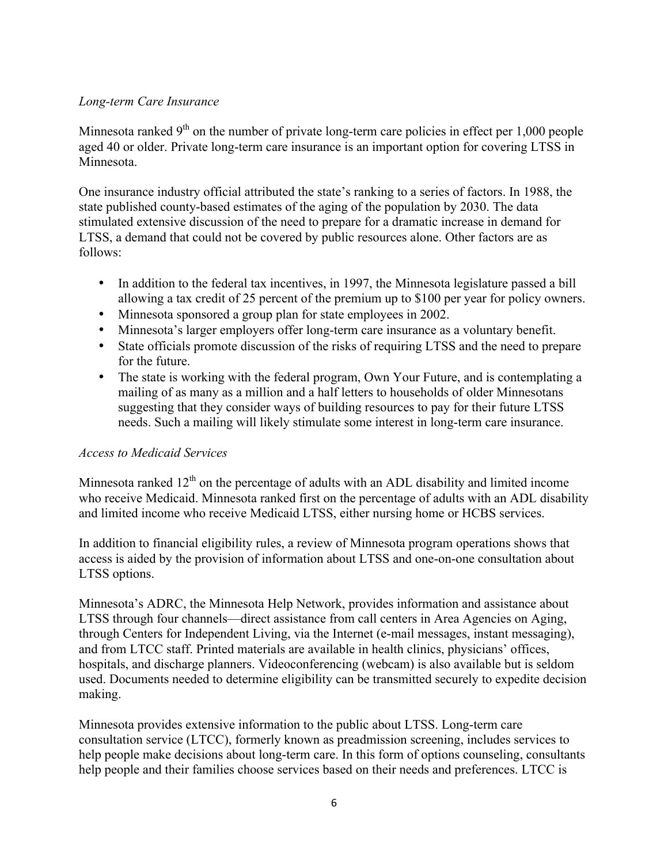#### *Long-term Care Insurance*

Minnesota ranked  $9<sup>th</sup>$  on the number of private long-term care policies in effect per 1,000 people aged 40 or older. Private long-term care insurance is an important option for covering LTSS in Minnesota.

One insurance industry official attributed the state's ranking to a series of factors. In 1988, the state published county-based estimates of the aging of the population by 2030. The data stimulated extensive discussion of the need to prepare for a dramatic increase in demand for LTSS, a demand that could not be covered by public resources alone. Other factors are as follows:

- In addition to the federal tax incentives, in 1997, the Minnesota legislature passed a bill allowing a tax credit of 25 percent of the premium up to \$100 per year for policy owners.
- Minnesota sponsored a group plan for state employees in 2002.
- Minnesota's larger employers offer long-term care insurance as a voluntary benefit.
- State officials promote discussion of the risks of requiring LTSS and the need to prepare for the future.
- The state is working with the federal program, Own Your Future, and is contemplating a mailing of as many as a million and a half letters to households of older Minnesotans suggesting that they consider ways of building resources to pay for their future LTSS needs. Such a mailing will likely stimulate some interest in long-term care insurance.

#### *Access to Medicaid Services*

Minnesota ranked  $12<sup>th</sup>$  on the percentage of adults with an ADL disability and limited income who receive Medicaid. Minnesota ranked first on the percentage of adults with an ADL disability and limited income who receive Medicaid LTSS, either nursing home or HCBS services.

In addition to financial eligibility rules, a review of Minnesota program operations shows that access is aided by the provision of information about LTSS and one-on-one consultation about LTSS options.

Minnesota's ADRC, the Minnesota Help Network, provides information and assistance about LTSS through four channels—direct assistance from call centers in Area Agencies on Aging, through Centers for Independent Living, via the Internet (e-mail messages, instant messaging), and from LTCC staff. Printed materials are available in health clinics, physicians' offices, hospitals, and discharge planners. Videoconferencing (webcam) is also available but is seldom used. Documents needed to determine eligibility can be transmitted securely to expedite decision making.

Minnesota provides extensive information to the public about LTSS. Long-term care consultation service (LTCC), formerly known as preadmission screening, includes services to help people make decisions about long-term care. In this form of options counseling, consultants help people and their families choose services based on their needs and preferences. LTCC is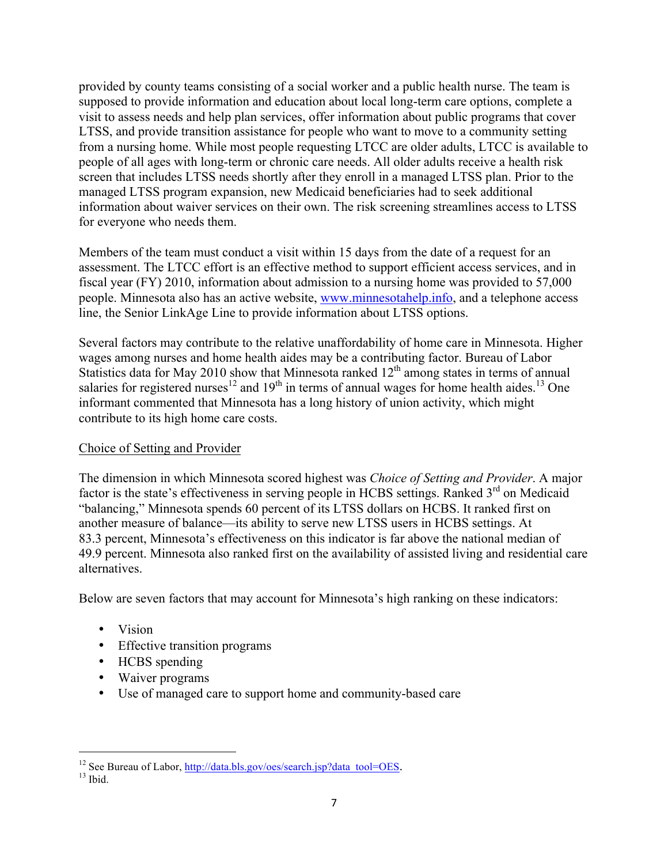provided by county teams consisting of a social worker and a public health nurse. The team is supposed to provide information and education about local long-term care options, complete a visit to assess needs and help plan services, offer information about public programs that cover LTSS, and provide transition assistance for people who want to move to a community setting from a nursing home. While most people requesting LTCC are older adults, LTCC is available to people of all ages with long-term or chronic care needs. All older adults receive a health risk screen that includes LTSS needs shortly after they enroll in a managed LTSS plan. Prior to the managed LTSS program expansion, new Medicaid beneficiaries had to seek additional information about waiver services on their own. The risk screening streamlines access to LTSS for everyone who needs them.

Members of the team must conduct a visit within 15 days from the date of a request for an assessment. The LTCC effort is an effective method to support efficient access services, and in fiscal year (FY) 2010, information about admission to a nursing home was provided to 57,000 people. Minnesota also has an active website, www.minnesotahelp.info, and a telephone access line, the Senior LinkAge Line to provide information about LTSS options.

Several factors may contribute to the relative unaffordability of home care in Minnesota. Higher wages among nurses and home health aides may be a contributing factor. Bureau of Labor Statistics data for May 2010 show that Minnesota ranked  $12<sup>th</sup>$  among states in terms of annual salaries for registered nurses<sup>12</sup> and 19<sup>th</sup> in terms of annual wages for home health aides.<sup>13</sup> One informant commented that Minnesota has a long history of union activity, which might contribute to its high home care costs.

#### Choice of Setting and Provider

The dimension in which Minnesota scored highest was *Choice of Setting and Provider*. A major factor is the state's effectiveness in serving people in HCBS settings. Ranked 3<sup>rd</sup> on Medicaid "balancing," Minnesota spends 60 percent of its LTSS dollars on HCBS. It ranked first on another measure of balance—its ability to serve new LTSS users in HCBS settings. At 83.3 percent, Minnesota's effectiveness on this indicator is far above the national median of 49.9 percent. Minnesota also ranked first on the availability of assisted living and residential care alternatives.

Below are seven factors that may account for Minnesota's high ranking on these indicators:

- Vision
- Effective transition programs
- HCBS spending
- Waiver programs
- Use of managed care to support home and community-based care

<sup>&</sup>lt;sup>12</sup> See Bureau of Labor,  $\frac{http://data.bls.gov/oes/search.jsp?data_to0=OES.$ <sup>13</sup> Ibid.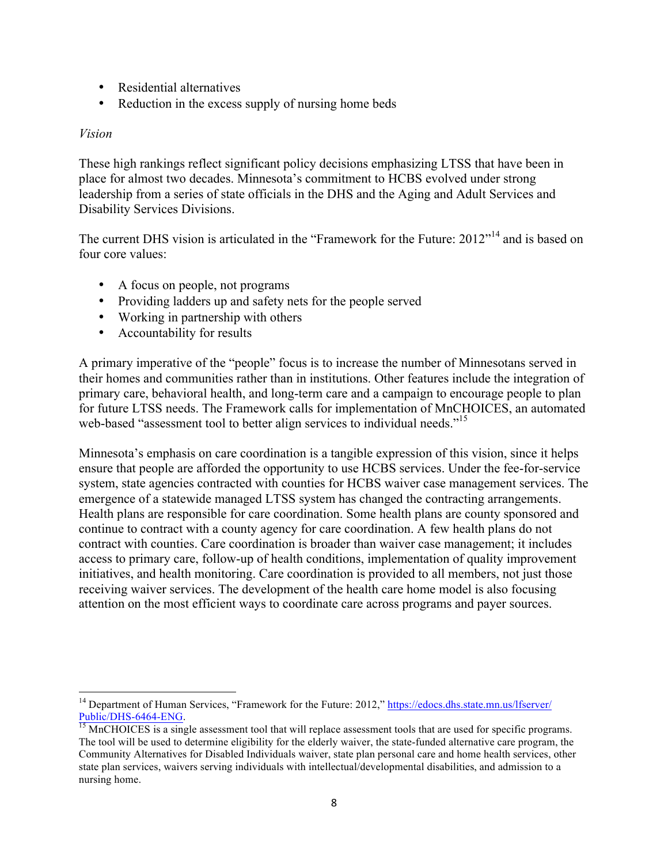- Residential alternatives
- Reduction in the excess supply of nursing home beds

#### *Vision*

These high rankings reflect significant policy decisions emphasizing LTSS that have been in place for almost two decades. Minnesota's commitment to HCBS evolved under strong leadership from a series of state officials in the DHS and the Aging and Adult Services and Disability Services Divisions.

The current DHS vision is articulated in the "Framework for the Future: 2012"<sup>14</sup> and is based on four core values:

- A focus on people, not programs
- Providing ladders up and safety nets for the people served
- Working in partnership with others
- Accountability for results

A primary imperative of the "people" focus is to increase the number of Minnesotans served in their homes and communities rather than in institutions. Other features include the integration of primary care, behavioral health, and long-term care and a campaign to encourage people to plan for future LTSS needs. The Framework calls for implementation of MnCHOICES, an automated web-based "assessment tool to better align services to individual needs."<sup>15</sup>

Minnesota's emphasis on care coordination is a tangible expression of this vision, since it helps ensure that people are afforded the opportunity to use HCBS services. Under the fee-for-service system, state agencies contracted with counties for HCBS waiver case management services. The emergence of a statewide managed LTSS system has changed the contracting arrangements. Health plans are responsible for care coordination. Some health plans are county sponsored and continue to contract with a county agency for care coordination. A few health plans do not contract with counties. Care coordination is broader than waiver case management; it includes access to primary care, follow-up of health conditions, implementation of quality improvement initiatives, and health monitoring. Care coordination is provided to all members, not just those receiving waiver services. The development of the health care home model is also focusing attention on the most efficient ways to coordinate care across programs and payer sources.

<sup>&</sup>lt;sup>14</sup> Department of Human Services, "Framework for the Future: 2012," https://edocs.dhs.state.mn.us/lfserver/ Public/DHS-6464-ENG.<br><sup>15</sup> MnCHOICES is a single assessment tool that will replace assessment tools that are used for specific programs.

The tool will be used to determine eligibility for the elderly waiver, the state-funded alternative care program, the Community Alternatives for Disabled Individuals waiver, state plan personal care and home health services, other state plan services, waivers serving individuals with intellectual/developmental disabilities, and admission to a nursing home.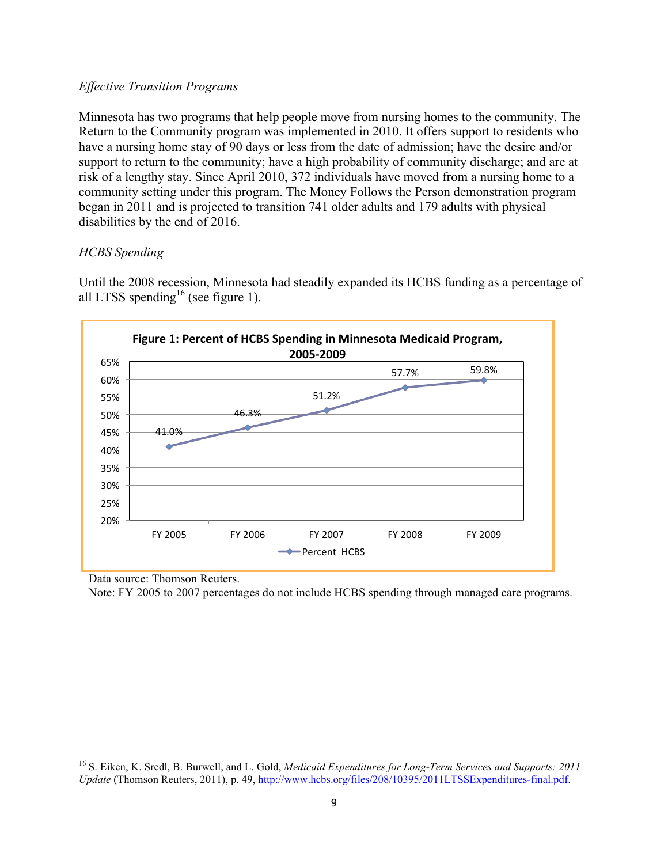#### *Effective Transition Programs*

Minnesota has two programs that help people move from nursing homes to the community. The Return to the Community program was implemented in 2010. It offers support to residents who have a nursing home stay of 90 days or less from the date of admission; have the desire and/or support to return to the community; have a high probability of community discharge; and are at risk of a lengthy stay. Since April 2010, 372 individuals have moved from a nursing home to a community setting under this program. The Money Follows the Person demonstration program began in 2011 and is projected to transition 741 older adults and 179 adults with physical disabilities by the end of 2016.

#### *HCBS Spending*

Until the 2008 recession, Minnesota had steadily expanded its HCBS funding as a percentage of all LTSS spending<sup>16</sup> (see figure 1).



Data source: Thomson Reuters.

Note: FY 2005 to 2007 percentages do not include HCBS spending through managed care programs.

 <sup>16</sup> S. Eiken, K. Sredl, B. Burwell, and L. Gold, *Medicaid Expenditures for Long-Term Services and Supports: 2011 Update* (Thomson Reuters, 2011), p. 49, http://www.hcbs.org/files/208/10395/2011LTSSExpenditures-final.pdf.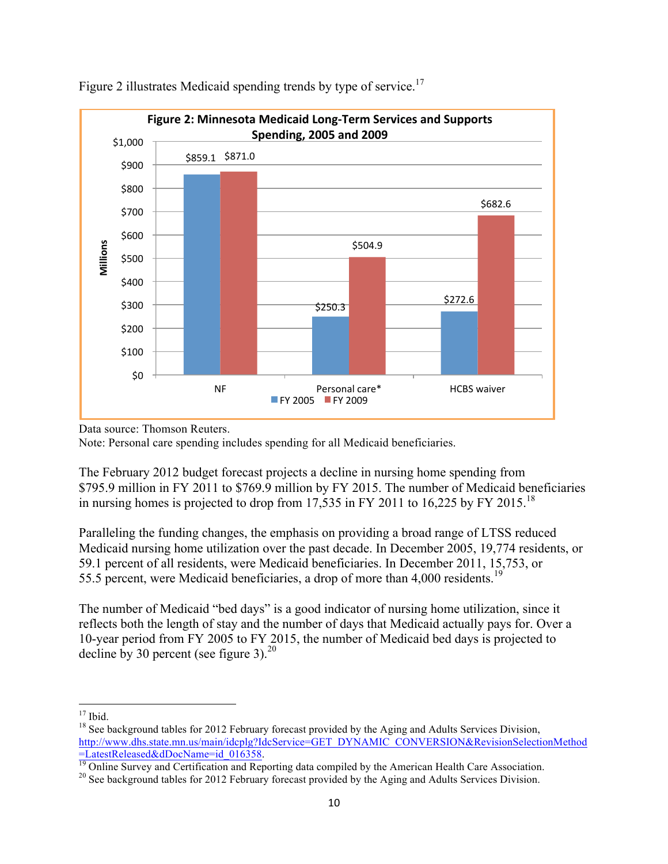

Figure 2 illustrates Medicaid spending trends by type of service.<sup>17</sup>

Note: Personal care spending includes spending for all Medicaid beneficiaries.

The February 2012 budget forecast projects a decline in nursing home spending from \$795.9 million in FY 2011 to \$769.9 million by FY 2015. The number of Medicaid beneficiaries in nursing homes is projected to drop from 17,535 in FY 2011 to 16,225 by FY 2015.<sup>18</sup>

Paralleling the funding changes, the emphasis on providing a broad range of LTSS reduced Medicaid nursing home utilization over the past decade. In December 2005, 19,774 residents, or 59.1 percent of all residents, were Medicaid beneficiaries. In December 2011, 15,753, or 55.5 percent, were Medicaid beneficiaries, a drop of more than 4,000 residents.<sup>19</sup>

The number of Medicaid "bed days" is a good indicator of nursing home utilization, since it reflects both the length of stay and the number of days that Medicaid actually pays for. Over a 10-year period from FY 2005 to FY 2015, the number of Medicaid bed days is projected to decline by 30 percent (see figure 3).<sup>20</sup>

Data source: Thomson Reuters.

<sup>&</sup>lt;sup>17</sup> Ibid. <sup>18</sup> See background tables for 2012 February forecast provided by the Aging and Adults Services Division, http://www.dhs.state.mn.us/main/idcplg?IdcService=GET\_DYNAMIC\_CONVERSION&RevisionSelectionMethod<br>=LatestReleased&dDocName=id\_016358.

<sup>&</sup>lt;sup>19</sup> Online Survey and Certification and Reporting data compiled by the American Health Care Association.<br><sup>20</sup> See background tables for 2012 February forecast provided by the Aging and Adults Services Division.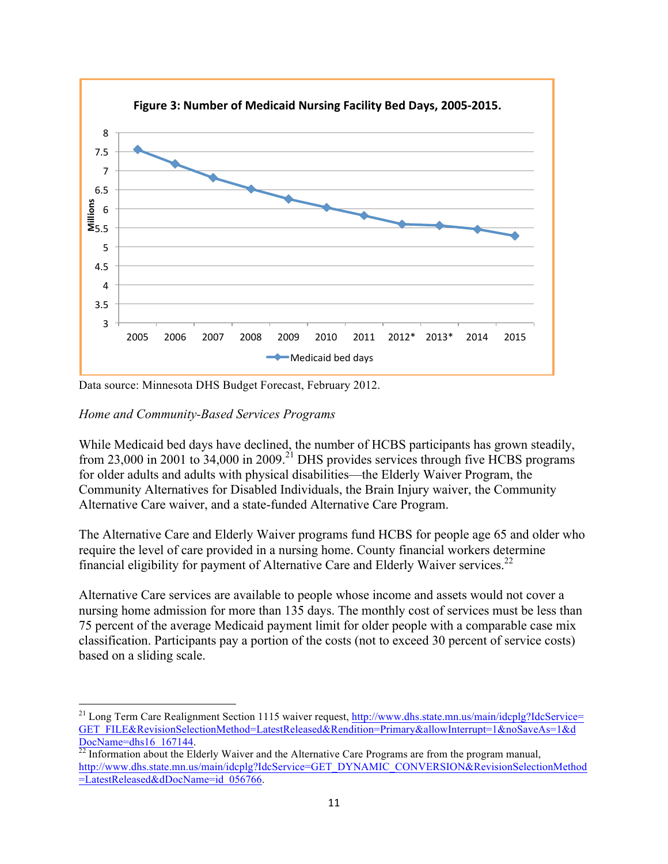

Data source: Minnesota DHS Budget Forecast, February 2012.

#### *Home and Community-Based Services Programs*

While Medicaid bed days have declined, the number of HCBS participants has grown steadily, from 23,000 in 2001 to 34,000 in 2009.<sup>21</sup> DHS provides services through five HCBS programs for older adults and adults with physical disabilities—the Elderly Waiver Program, the Community Alternatives for Disabled Individuals, the Brain Injury waiver, the Community Alternative Care waiver, and a state-funded Alternative Care Program.

The Alternative Care and Elderly Waiver programs fund HCBS for people age 65 and older who require the level of care provided in a nursing home. County financial workers determine financial eligibility for payment of Alternative Care and Elderly Waiver services.<sup>22</sup>

Alternative Care services are available to people whose income and assets would not cover a nursing home admission for more than 135 days. The monthly cost of services must be less than 75 percent of the average Medicaid payment limit for older people with a comparable case mix classification. Participants pay a portion of the costs (not to exceed 30 percent of service costs) based on a sliding scale.

<sup>&</sup>lt;sup>21</sup> Long Term Care Realignment Section 1115 waiver request, http://www.dhs.state.mn.us/main/idcplg?IdcService= GET\_FILE&RevisionSelectionMethod=LatestReleased&Rendition=Primary&allowInterrupt=1&noSaveAs=1&d

DocName=dhs16\_167144.<br><sup>22</sup> Information about the Elderly Waiver and the Alternative Care Programs are from the program manual, http://www.dhs.state.mn.us/main/idcplg?IdcService=GET\_DYNAMIC\_CONVERSION&RevisionSelectionMethod =LatestReleased&dDocName=id\_056766.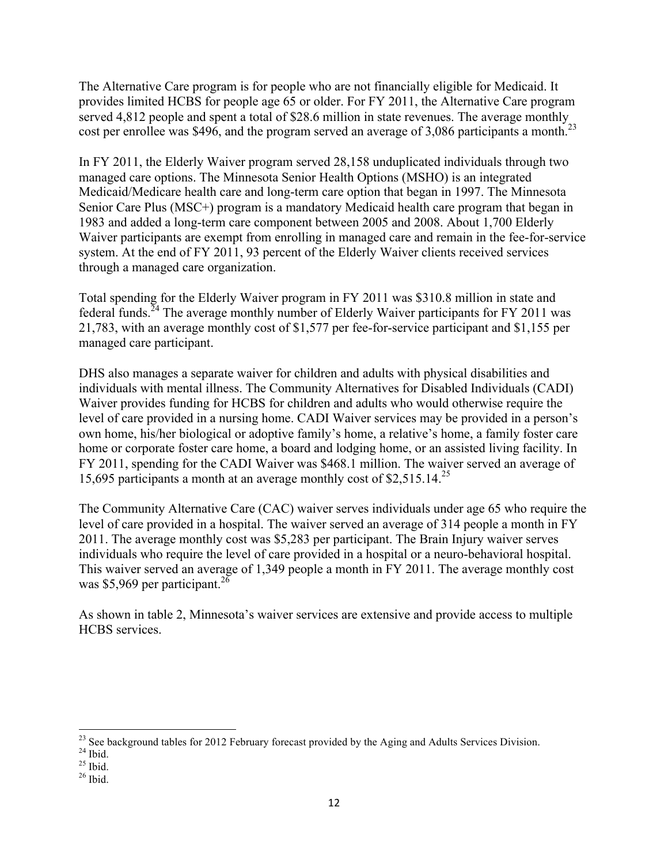The Alternative Care program is for people who are not financially eligible for Medicaid. It provides limited HCBS for people age 65 or older. For FY 2011, the Alternative Care program served 4,812 people and spent a total of \$28.6 million in state revenues. The average monthly cost per enrollee was \$496, and the program served an average of 3,086 participants a month.<sup>23</sup>

In FY 2011, the Elderly Waiver program served 28,158 unduplicated individuals through two managed care options. The Minnesota Senior Health Options (MSHO) is an integrated Medicaid/Medicare health care and long-term care option that began in 1997. The Minnesota Senior Care Plus (MSC+) program is a mandatory Medicaid health care program that began in 1983 and added a long-term care component between 2005 and 2008. About 1,700 Elderly Waiver participants are exempt from enrolling in managed care and remain in the fee-for-service system. At the end of FY 2011, 93 percent of the Elderly Waiver clients received services through a managed care organization.

Total spending for the Elderly Waiver program in FY 2011 was \$310.8 million in state and federal funds.<sup>24</sup> The average monthly number of Elderly Waiver participants for FY 2011 was 21,783, with an average monthly cost of \$1,577 per fee-for-service participant and \$1,155 per managed care participant.

DHS also manages a separate waiver for children and adults with physical disabilities and individuals with mental illness. The Community Alternatives for Disabled Individuals (CADI) Waiver provides funding for HCBS for children and adults who would otherwise require the level of care provided in a nursing home. CADI Waiver services may be provided in a person's own home, his/her biological or adoptive family's home, a relative's home, a family foster care home or corporate foster care home, a board and lodging home, or an assisted living facility. In FY 2011, spending for the CADI Waiver was \$468.1 million. The waiver served an average of 15,695 participants a month at an average monthly cost of  $$2,515.14<sup>25</sup>$ 

The Community Alternative Care (CAC) waiver serves individuals under age 65 who require the level of care provided in a hospital. The waiver served an average of 314 people a month in FY 2011. The average monthly cost was \$5,283 per participant. The Brain Injury waiver serves individuals who require the level of care provided in a hospital or a neuro-behavioral hospital. This waiver served an average of 1,349 people a month in FY 2011. The average monthly cost was \$5,969 per participant.<sup>26</sup>

As shown in table 2, Minnesota's waiver services are extensive and provide access to multiple HCBS services.

<sup>&</sup>lt;sup>23</sup> See background tables for 2012 February forecast provided by the Aging and Adults Services Division. <sup>24</sup> Ibid. <sup>25</sup> Ibid. <sup>26</sup> Ibid.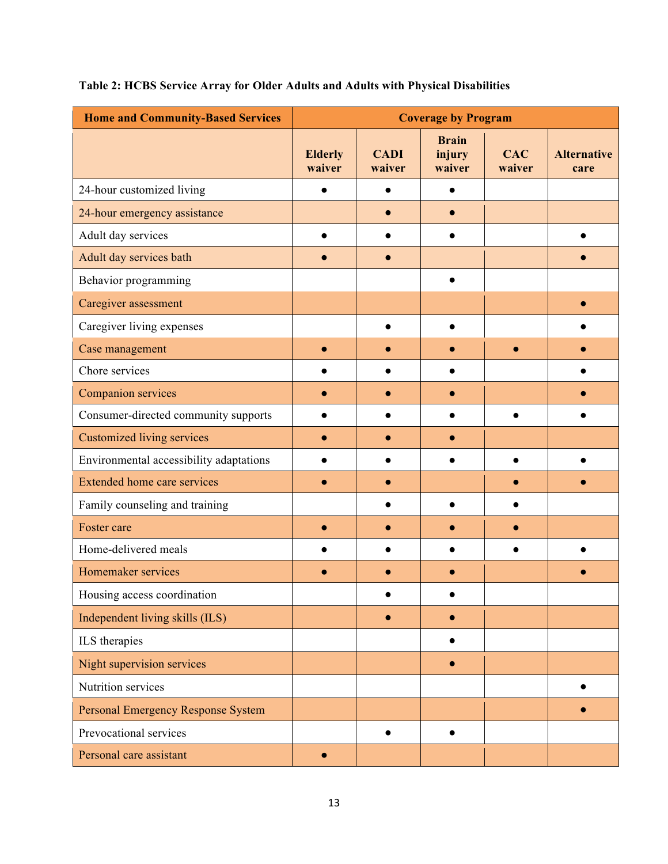| <b>Home and Community-Based Services</b> | <b>Coverage by Program</b> |                       |                                  |                      |                            |  |  |
|------------------------------------------|----------------------------|-----------------------|----------------------------------|----------------------|----------------------------|--|--|
|                                          | <b>Elderly</b><br>waiver   | <b>CADI</b><br>waiver | <b>Brain</b><br>injury<br>waiver | <b>CAC</b><br>waiver | <b>Alternative</b><br>care |  |  |
| 24-hour customized living                |                            |                       |                                  |                      |                            |  |  |
| 24-hour emergency assistance             |                            |                       |                                  |                      |                            |  |  |
| Adult day services                       |                            |                       |                                  |                      |                            |  |  |
| Adult day services bath                  |                            |                       |                                  |                      |                            |  |  |
| Behavior programming                     |                            |                       |                                  |                      |                            |  |  |
| Caregiver assessment                     |                            |                       |                                  |                      |                            |  |  |
| Caregiver living expenses                |                            |                       |                                  |                      |                            |  |  |
| Case management                          |                            |                       |                                  |                      |                            |  |  |
| Chore services                           |                            |                       |                                  |                      |                            |  |  |
| Companion services                       |                            |                       |                                  |                      |                            |  |  |
| Consumer-directed community supports     |                            |                       |                                  |                      |                            |  |  |
| <b>Customized living services</b>        |                            |                       |                                  |                      |                            |  |  |
| Environmental accessibility adaptations  |                            |                       |                                  |                      |                            |  |  |
| <b>Extended home care services</b>       |                            |                       |                                  |                      |                            |  |  |
| Family counseling and training           |                            |                       |                                  |                      |                            |  |  |
| Foster care                              |                            |                       |                                  |                      |                            |  |  |
| Home-delivered meals                     |                            |                       |                                  |                      |                            |  |  |
| Homemaker services                       |                            |                       |                                  |                      |                            |  |  |
| Housing access coordination              |                            |                       |                                  |                      |                            |  |  |
| Independent living skills (ILS)          |                            |                       |                                  |                      |                            |  |  |
| ILS therapies                            |                            |                       |                                  |                      |                            |  |  |
| Night supervision services               |                            |                       | $\bullet$                        |                      |                            |  |  |
| Nutrition services                       |                            |                       |                                  |                      |                            |  |  |
| Personal Emergency Response System       |                            |                       |                                  |                      |                            |  |  |
| Prevocational services                   |                            | $\bullet$             |                                  |                      |                            |  |  |
| Personal care assistant                  | $\bullet$                  |                       |                                  |                      |                            |  |  |

### **Table 2: HCBS Service Array for Older Adults and Adults with Physical Disabilities**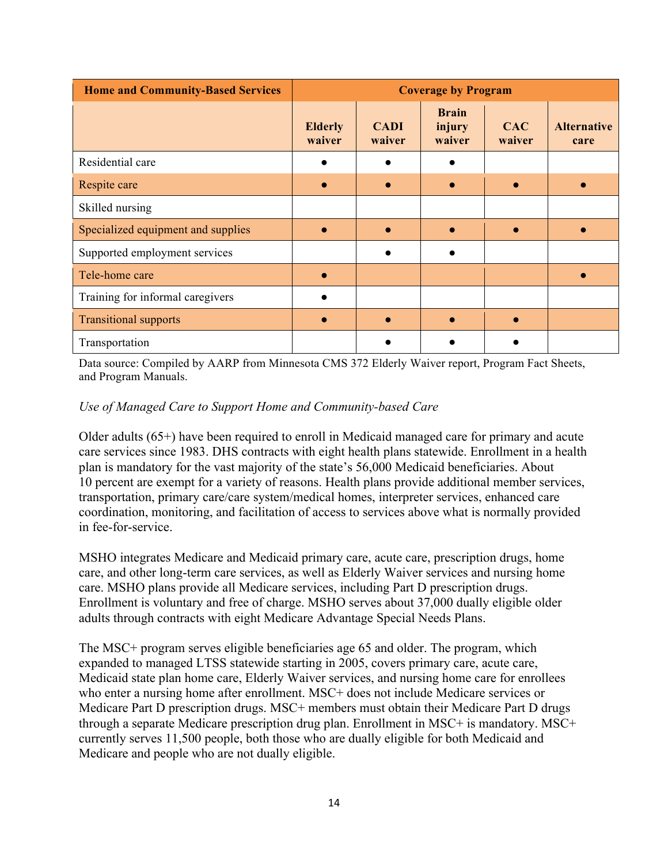| <b>Home and Community-Based Services</b> | <b>Coverage by Program</b> |                       |                                  |                      |                            |  |  |
|------------------------------------------|----------------------------|-----------------------|----------------------------------|----------------------|----------------------------|--|--|
|                                          | <b>Elderly</b><br>waiver   | <b>CADI</b><br>waiver | <b>Brain</b><br>injury<br>waiver | <b>CAC</b><br>waiver | <b>Alternative</b><br>care |  |  |
| Residential care                         |                            |                       |                                  |                      |                            |  |  |
| Respite care                             | $\bullet$                  |                       |                                  |                      |                            |  |  |
| Skilled nursing                          |                            |                       |                                  |                      |                            |  |  |
| Specialized equipment and supplies       |                            |                       |                                  |                      |                            |  |  |
| Supported employment services            |                            |                       |                                  |                      |                            |  |  |
| Tele-home care                           | $\bullet$                  |                       |                                  |                      |                            |  |  |
| Training for informal caregivers         |                            |                       |                                  |                      |                            |  |  |
| <b>Transitional supports</b>             | $\bullet$                  |                       |                                  |                      |                            |  |  |
| Transportation                           |                            |                       |                                  |                      |                            |  |  |

Data source: Compiled by AARP from Minnesota CMS 372 Elderly Waiver report, Program Fact Sheets, and Program Manuals.

#### *Use of Managed Care to Support Home and Community-based Care*

Older adults (65+) have been required to enroll in Medicaid managed care for primary and acute care services since 1983. DHS contracts with eight health plans statewide. Enrollment in a health plan is mandatory for the vast majority of the state's 56,000 Medicaid beneficiaries. About 10 percent are exempt for a variety of reasons. Health plans provide additional member services, transportation, primary care/care system/medical homes, interpreter services, enhanced care coordination, monitoring, and facilitation of access to services above what is normally provided in fee-for-service.

MSHO integrates Medicare and Medicaid primary care, acute care, prescription drugs, home care, and other long-term care services, as well as Elderly Waiver services and nursing home care. MSHO plans provide all Medicare services, including Part D prescription drugs. Enrollment is voluntary and free of charge. MSHO serves about 37,000 dually eligible older adults through contracts with eight Medicare Advantage Special Needs Plans.

The MSC+ program serves eligible beneficiaries age 65 and older. The program, which expanded to managed LTSS statewide starting in 2005, covers primary care, acute care, Medicaid state plan home care, Elderly Waiver services, and nursing home care for enrollees who enter a nursing home after enrollment. MSC+ does not include Medicare services or Medicare Part D prescription drugs. MSC+ members must obtain their Medicare Part D drugs through a separate Medicare prescription drug plan. Enrollment in MSC+ is mandatory. MSC+ currently serves 11,500 people, both those who are dually eligible for both Medicaid and Medicare and people who are not dually eligible.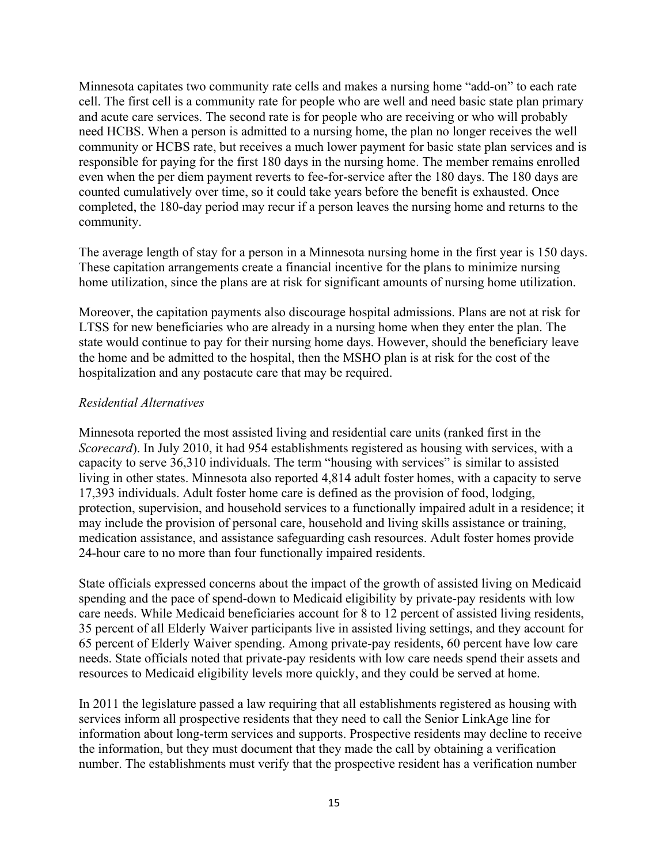Minnesota capitates two community rate cells and makes a nursing home "add-on" to each rate cell. The first cell is a community rate for people who are well and need basic state plan primary and acute care services. The second rate is for people who are receiving or who will probably need HCBS. When a person is admitted to a nursing home, the plan no longer receives the well community or HCBS rate, but receives a much lower payment for basic state plan services and is responsible for paying for the first 180 days in the nursing home. The member remains enrolled even when the per diem payment reverts to fee-for-service after the 180 days. The 180 days are counted cumulatively over time, so it could take years before the benefit is exhausted. Once completed, the 180-day period may recur if a person leaves the nursing home and returns to the community.

The average length of stay for a person in a Minnesota nursing home in the first year is 150 days. These capitation arrangements create a financial incentive for the plans to minimize nursing home utilization, since the plans are at risk for significant amounts of nursing home utilization.

Moreover, the capitation payments also discourage hospital admissions. Plans are not at risk for LTSS for new beneficiaries who are already in a nursing home when they enter the plan. The state would continue to pay for their nursing home days. However, should the beneficiary leave the home and be admitted to the hospital, then the MSHO plan is at risk for the cost of the hospitalization and any postacute care that may be required.

#### *Residential Alternatives*

Minnesota reported the most assisted living and residential care units (ranked first in the *Scorecard*). In July 2010, it had 954 establishments registered as housing with services, with a capacity to serve 36,310 individuals. The term "housing with services" is similar to assisted living in other states. Minnesota also reported 4,814 adult foster homes, with a capacity to serve 17,393 individuals. Adult foster home care is defined as the provision of food, lodging, protection, supervision, and household services to a functionally impaired adult in a residence; it may include the provision of personal care, household and living skills assistance or training, medication assistance, and assistance safeguarding cash resources. Adult foster homes provide 24-hour care to no more than four functionally impaired residents.

State officials expressed concerns about the impact of the growth of assisted living on Medicaid spending and the pace of spend-down to Medicaid eligibility by private-pay residents with low care needs. While Medicaid beneficiaries account for 8 to 12 percent of assisted living residents, 35 percent of all Elderly Waiver participants live in assisted living settings, and they account for 65 percent of Elderly Waiver spending. Among private-pay residents, 60 percent have low care needs. State officials noted that private-pay residents with low care needs spend their assets and resources to Medicaid eligibility levels more quickly, and they could be served at home.

In 2011 the legislature passed a law requiring that all establishments registered as housing with services inform all prospective residents that they need to call the Senior LinkAge line for information about long-term services and supports. Prospective residents may decline to receive the information, but they must document that they made the call by obtaining a verification number. The establishments must verify that the prospective resident has a verification number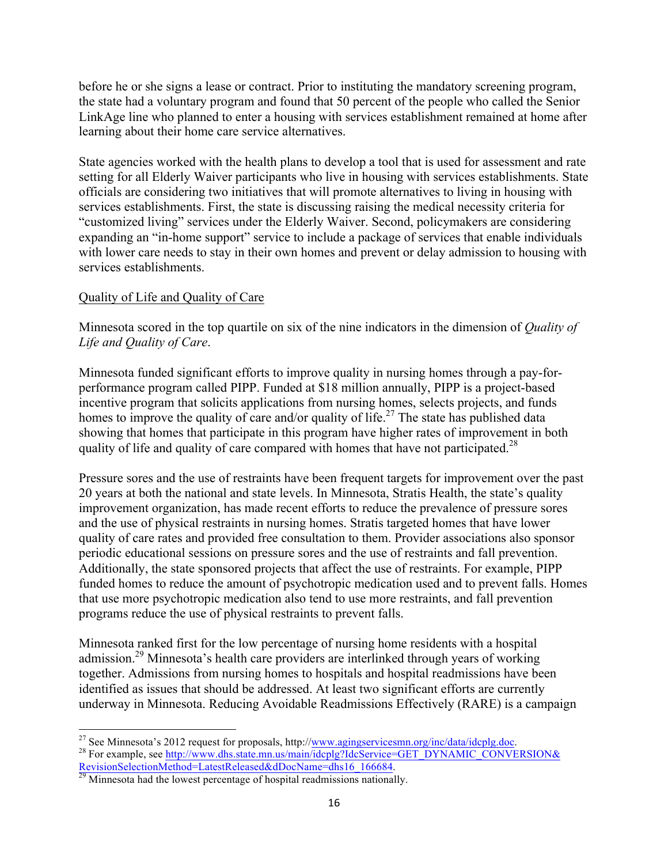before he or she signs a lease or contract. Prior to instituting the mandatory screening program, the state had a voluntary program and found that 50 percent of the people who called the Senior LinkAge line who planned to enter a housing with services establishment remained at home after learning about their home care service alternatives.

State agencies worked with the health plans to develop a tool that is used for assessment and rate setting for all Elderly Waiver participants who live in housing with services establishments. State officials are considering two initiatives that will promote alternatives to living in housing with services establishments. First, the state is discussing raising the medical necessity criteria for "customized living" services under the Elderly Waiver. Second, policymakers are considering expanding an "in-home support" service to include a package of services that enable individuals with lower care needs to stay in their own homes and prevent or delay admission to housing with services establishments.

#### Quality of Life and Quality of Care

Minnesota scored in the top quartile on six of the nine indicators in the dimension of *Quality of Life and Quality of Care*.

Minnesota funded significant efforts to improve quality in nursing homes through a pay-forperformance program called PIPP. Funded at \$18 million annually, PIPP is a project-based incentive program that solicits applications from nursing homes, selects projects, and funds homes to improve the quality of care and/or quality of life.<sup>27</sup> The state has published data showing that homes that participate in this program have higher rates of improvement in both quality of life and quality of care compared with homes that have not participated.<sup>28</sup>

Pressure sores and the use of restraints have been frequent targets for improvement over the past 20 years at both the national and state levels. In Minnesota, Stratis Health, the state's quality improvement organization, has made recent efforts to reduce the prevalence of pressure sores and the use of physical restraints in nursing homes. Stratis targeted homes that have lower quality of care rates and provided free consultation to them. Provider associations also sponsor periodic educational sessions on pressure sores and the use of restraints and fall prevention. Additionally, the state sponsored projects that affect the use of restraints. For example, PIPP funded homes to reduce the amount of psychotropic medication used and to prevent falls. Homes that use more psychotropic medication also tend to use more restraints, and fall prevention programs reduce the use of physical restraints to prevent falls.

Minnesota ranked first for the low percentage of nursing home residents with a hospital admission.<sup>29</sup> Minnesota's health care providers are interlinked through years of working together. Admissions from nursing homes to hospitals and hospital readmissions have been identified as issues that should be addressed. At least two significant efforts are currently underway in Minnesota. Reducing Avoidable Readmissions Effectively (RARE) is a campaign

<sup>&</sup>lt;sup>27</sup> See Minnesota's 2012 request for proposals, http://<u>www.agingservicesmn.org/inc/data/idcplg.doc</u>.<br><sup>28</sup> For example, see http://www.dhs.state.mn.us/main/idcplg?IdcService=GET\_DYNAMIC\_CONVERSION& RevisionSelectionMethod=LatestReleased&dDocName=dhs16\_166684.<br><sup>29</sup> Minnesota had the lowest percentage of hospital readmissions nationally.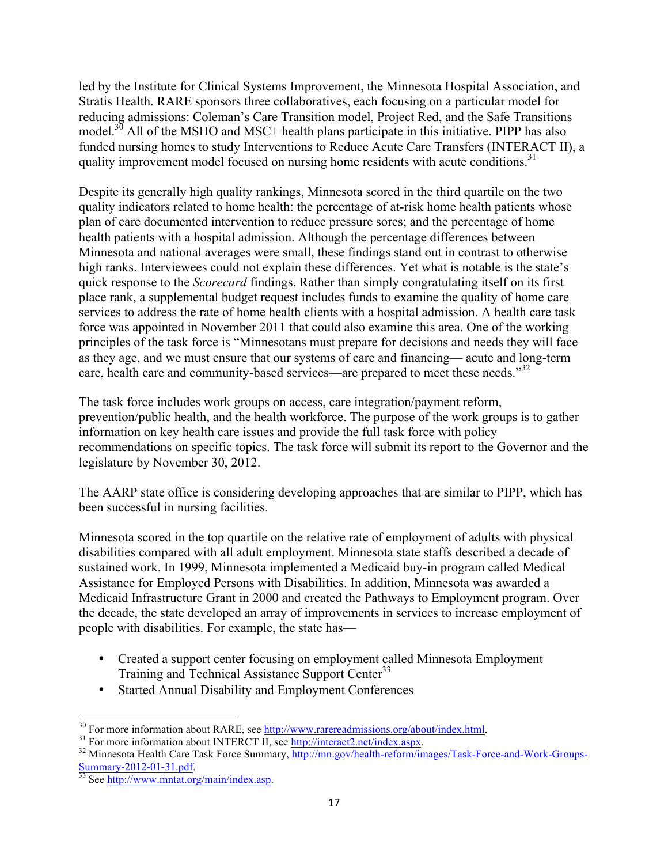led by the Institute for Clinical Systems Improvement, the Minnesota Hospital Association, and Stratis Health. RARE sponsors three collaboratives, each focusing on a particular model for reducing admissions: Coleman's Care Transition model, Project Red, and the Safe Transitions model.<sup>30</sup> All of the MSHO and MSC+ health plans participate in this initiative. PIPP has also funded nursing homes to study Interventions to Reduce Acute Care Transfers (INTERACT II), a quality improvement model focused on nursing home residents with acute conditions.<sup>31</sup>

Despite its generally high quality rankings, Minnesota scored in the third quartile on the two quality indicators related to home health: the percentage of at-risk home health patients whose plan of care documented intervention to reduce pressure sores; and the percentage of home health patients with a hospital admission. Although the percentage differences between Minnesota and national averages were small, these findings stand out in contrast to otherwise high ranks. Interviewees could not explain these differences. Yet what is notable is the state's quick response to the *Scorecard* findings. Rather than simply congratulating itself on its first place rank, a supplemental budget request includes funds to examine the quality of home care services to address the rate of home health clients with a hospital admission. A health care task force was appointed in November 2011 that could also examine this area. One of the working principles of the task force is "Minnesotans must prepare for decisions and needs they will face as they age, and we must ensure that our systems of care and financing— acute and long-term care, health care and community-based services—are prepared to meet these needs."<sup>32</sup>

The task force includes work groups on access, care integration/payment reform, prevention/public health, and the health workforce. The purpose of the work groups is to gather information on key health care issues and provide the full task force with policy recommendations on specific topics. The task force will submit its report to the Governor and the legislature by November 30, 2012.

The AARP state office is considering developing approaches that are similar to PIPP, which has been successful in nursing facilities.

Minnesota scored in the top quartile on the relative rate of employment of adults with physical disabilities compared with all adult employment. Minnesota state staffs described a decade of sustained work. In 1999, Minnesota implemented a Medicaid buy-in program called Medical Assistance for Employed Persons with Disabilities. In addition, Minnesota was awarded a Medicaid Infrastructure Grant in 2000 and created the Pathways to Employment program. Over the decade, the state developed an array of improvements in services to increase employment of people with disabilities. For example, the state has—

- Created a support center focusing on employment called Minnesota Employment Training and Technical Assistance Support Center<sup>33</sup>
- Started Annual Disability and Employment Conferences

<sup>&</sup>lt;sup>30</sup> For more information about RARE, see  $\frac{http://www.rarereadmissions.org/about/index.html}{http://interact2.net/indexaspx}$ .<br><sup>31</sup> For more information about INTERCT II, see  $\frac{http://interact2.net/indexaspx}{http://interact2.net/indexaspx}$ .<br><sup>32</sup> Minnesota Health Care Task Force Summary, http://mn.gov/health-ref Summary-2012-01-31.pdf.<br><sup>33</sup> See http://www.mntat.org/main/index.asp.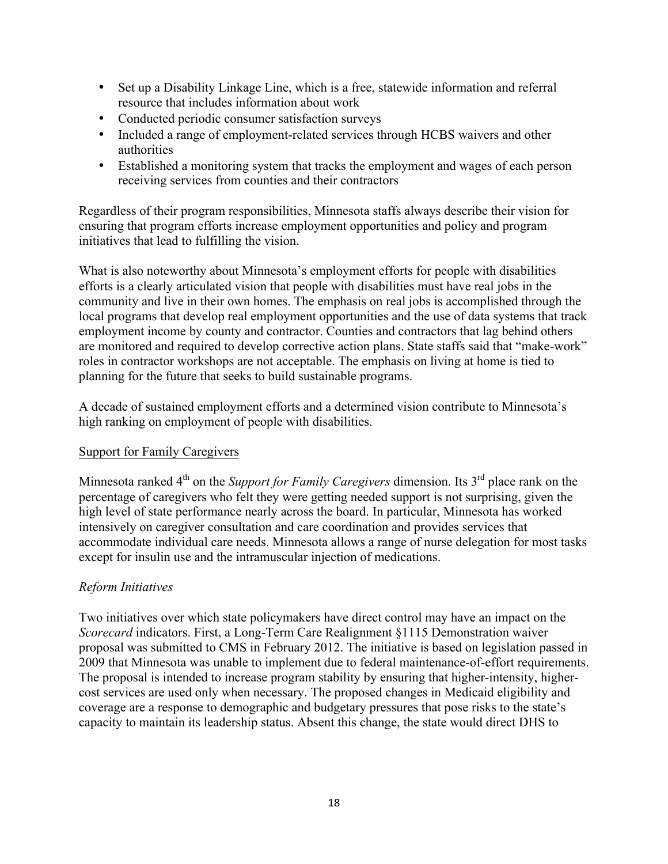- Set up a Disability Linkage Line, which is a free, statewide information and referral resource that includes information about work
- Conducted periodic consumer satisfaction surveys
- Included a range of employment-related services through HCBS waivers and other authorities
- Established a monitoring system that tracks the employment and wages of each person receiving services from counties and their contractors

Regardless of their program responsibilities, Minnesota staffs always describe their vision for ensuring that program efforts increase employment opportunities and policy and program initiatives that lead to fulfilling the vision.

What is also noteworthy about Minnesota's employment efforts for people with disabilities efforts is a clearly articulated vision that people with disabilities must have real jobs in the community and live in their own homes. The emphasis on real jobs is accomplished through the local programs that develop real employment opportunities and the use of data systems that track employment income by county and contractor. Counties and contractors that lag behind others are monitored and required to develop corrective action plans. State staffs said that "make-work" roles in contractor workshops are not acceptable. The emphasis on living at home is tied to planning for the future that seeks to build sustainable programs.

A decade of sustained employment efforts and a determined vision contribute to Minnesota's high ranking on employment of people with disabilities.

#### Support for Family Caregivers

Minnesota ranked 4<sup>th</sup> on the *Support for Family Caregivers* dimension. Its 3<sup>rd</sup> place rank on the percentage of caregivers who felt they were getting needed support is not surprising, given the high level of state performance nearly across the board. In particular, Minnesota has worked intensively on caregiver consultation and care coordination and provides services that accommodate individual care needs. Minnesota allows a range of nurse delegation for most tasks except for insulin use and the intramuscular injection of medications.

### *Reform Initiatives*

Two initiatives over which state policymakers have direct control may have an impact on the *Scorecard* indicators. First, a Long-Term Care Realignment §1115 Demonstration waiver proposal was submitted to CMS in February 2012. The initiative is based on legislation passed in 2009 that Minnesota was unable to implement due to federal maintenance-of-effort requirements. The proposal is intended to increase program stability by ensuring that higher-intensity, highercost services are used only when necessary. The proposed changes in Medicaid eligibility and coverage are a response to demographic and budgetary pressures that pose risks to the state's capacity to maintain its leadership status. Absent this change, the state would direct DHS to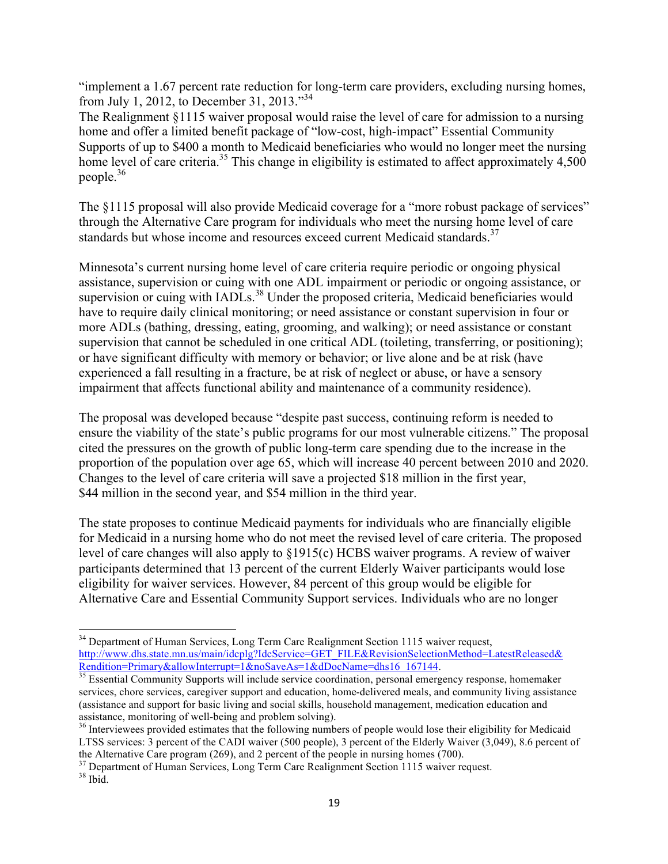"implement a 1.67 percent rate reduction for long-term care providers, excluding nursing homes, from July 1, 2012, to December 31, 2013."<sup>34</sup>

The Realignment §1115 waiver proposal would raise the level of care for admission to a nursing home and offer a limited benefit package of "low-cost, high-impact" Essential Community Supports of up to \$400 a month to Medicaid beneficiaries who would no longer meet the nursing home level of care criteria.<sup>35</sup> This change in eligibility is estimated to affect approximately 4,500 people. 36

The §1115 proposal will also provide Medicaid coverage for a "more robust package of services" through the Alternative Care program for individuals who meet the nursing home level of care standards but whose income and resources exceed current Medicaid standards.<sup>37</sup>

Minnesota's current nursing home level of care criteria require periodic or ongoing physical assistance, supervision or cuing with one ADL impairment or periodic or ongoing assistance, or supervision or cuing with IADLs.<sup>38</sup> Under the proposed criteria, Medicaid beneficiaries would have to require daily clinical monitoring; or need assistance or constant supervision in four or more ADLs (bathing, dressing, eating, grooming, and walking); or need assistance or constant supervision that cannot be scheduled in one critical ADL (toileting, transferring, or positioning); or have significant difficulty with memory or behavior; or live alone and be at risk (have experienced a fall resulting in a fracture, be at risk of neglect or abuse, or have a sensory impairment that affects functional ability and maintenance of a community residence).

The proposal was developed because "despite past success, continuing reform is needed to ensure the viability of the state's public programs for our most vulnerable citizens." The proposal cited the pressures on the growth of public long-term care spending due to the increase in the proportion of the population over age 65, which will increase 40 percent between 2010 and 2020. Changes to the level of care criteria will save a projected \$18 million in the first year, \$44 million in the second year, and \$54 million in the third year.

The state proposes to continue Medicaid payments for individuals who are financially eligible for Medicaid in a nursing home who do not meet the revised level of care criteria. The proposed level of care changes will also apply to §1915(c) HCBS waiver programs. A review of waiver participants determined that 13 percent of the current Elderly Waiver participants would lose eligibility for waiver services. However, 84 percent of this group would be eligible for Alternative Care and Essential Community Support services. Individuals who are no longer

<sup>&</sup>lt;sup>34</sup> Department of Human Services, Long Term Care Realignment Section 1115 waiver request, http://www.dhs.state.mn.us/main/idcplg?IdcService=GET\_FILE&RevisionSelectionMethod=LatestReleased&<br>Rendition=Primary&allowInterrupt=1&noSaveAs=1&dDocName=dhs16\_167144.

 $\frac{35}{35}$  Essential Community Supports will include service coordination, personal emergency response, homemaker services, chore services, caregiver support and education, home-delivered meals, and community living assistance (assistance and support for basic living and social skills, household management, medication education and assistance, monitoring of well-being and problem solving).<br><sup>36</sup> Interviewees provided estimates that the following numbers of people would lose their eligibility for Medicaid

LTSS services: 3 percent of the CADI waiver (500 people), 3 percent of the Elderly Waiver (3,049), 8.6 percent of the Alternative Care program (269), and 2 percent of the people in nursing homes (700).<br><sup>37</sup> Department of Human Services, Long Term Care Realignment Section 1115 waiver request.<br><sup>38</sup> Ibid.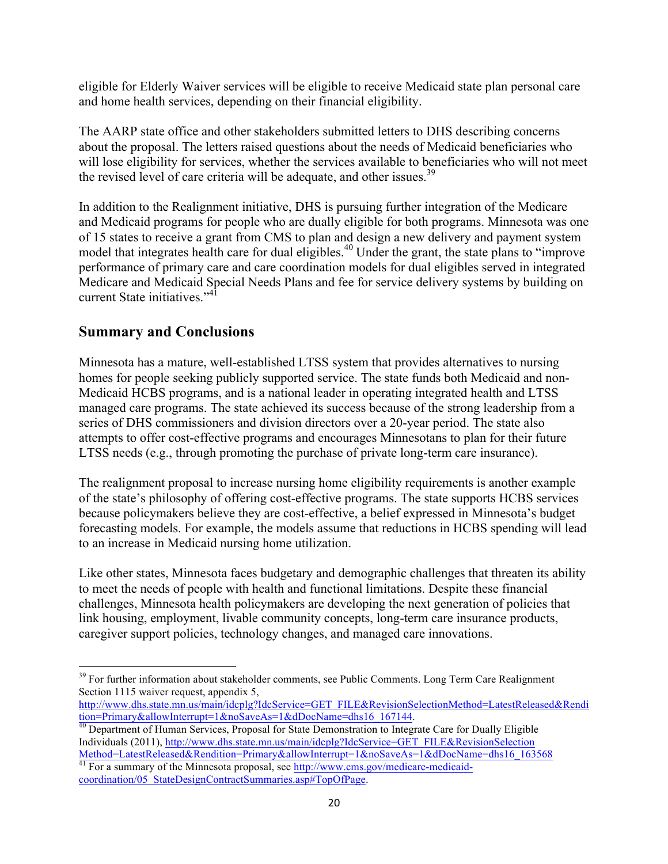eligible for Elderly Waiver services will be eligible to receive Medicaid state plan personal care and home health services, depending on their financial eligibility.

The AARP state office and other stakeholders submitted letters to DHS describing concerns about the proposal. The letters raised questions about the needs of Medicaid beneficiaries who will lose eligibility for services, whether the services available to beneficiaries who will not meet the revised level of care criteria will be adequate, and other issues.<sup>39</sup>

In addition to the Realignment initiative, DHS is pursuing further integration of the Medicare and Medicaid programs for people who are dually eligible for both programs. Minnesota was one of 15 states to receive a grant from CMS to plan and design a new delivery and payment system model that integrates health care for dual eligibles.<sup>40</sup> Under the grant, the state plans to "improve performance of primary care and care coordination models for dual eligibles served in integrated Medicare and Medicaid Special Needs Plans and fee for service delivery systems by building on current State initiatives."<sup>41</sup>

### **Summary and Conclusions**

Minnesota has a mature, well-established LTSS system that provides alternatives to nursing homes for people seeking publicly supported service. The state funds both Medicaid and non-Medicaid HCBS programs, and is a national leader in operating integrated health and LTSS managed care programs. The state achieved its success because of the strong leadership from a series of DHS commissioners and division directors over a 20-year period. The state also attempts to offer cost-effective programs and encourages Minnesotans to plan for their future LTSS needs (e.g., through promoting the purchase of private long-term care insurance).

The realignment proposal to increase nursing home eligibility requirements is another example of the state's philosophy of offering cost-effective programs. The state supports HCBS services because policymakers believe they are cost-effective, a belief expressed in Minnesota's budget forecasting models. For example, the models assume that reductions in HCBS spending will lead to an increase in Medicaid nursing home utilization.

Like other states, Minnesota faces budgetary and demographic challenges that threaten its ability to meet the needs of people with health and functional limitations. Despite these financial challenges, Minnesota health policymakers are developing the next generation of policies that link housing, employment, livable community concepts, long-term care insurance products, caregiver support policies, technology changes, and managed care innovations.

<sup>&</sup>lt;sup>39</sup> For further information about stakeholder comments, see Public Comments. Long Term Care Realignment Section 1115 waiver request, appendix 5,

http://www.dhs.state.mn.us/main/idcplg?IdcService=GET\_FILE&RevisionSelectionMethod=LatestReleased&Rendi

tion=Primary&allowInterrupt=1&noSaveAs=1&dDocName=dhs16\_167144.<br><sup>40</sup> Department of Human Services, Proposal for State Demonstration to Integrate Care for Dually Eligible Individuals (2011), http://www.dhs.state.mn.us/main/idcplg?IdcService=GET\_FILE&RevisionSelection Method=LatestReleased&Rendition=Primary&allowInterrupt=1&noSaveAs=1&dDocName=dhs16\_163568

 $41$  For a summary of the Minnesota proposal, see http://www.cms.gov/medicare-medicaidcoordination/05\_StateDesignContractSummaries.asp#TopOfPage.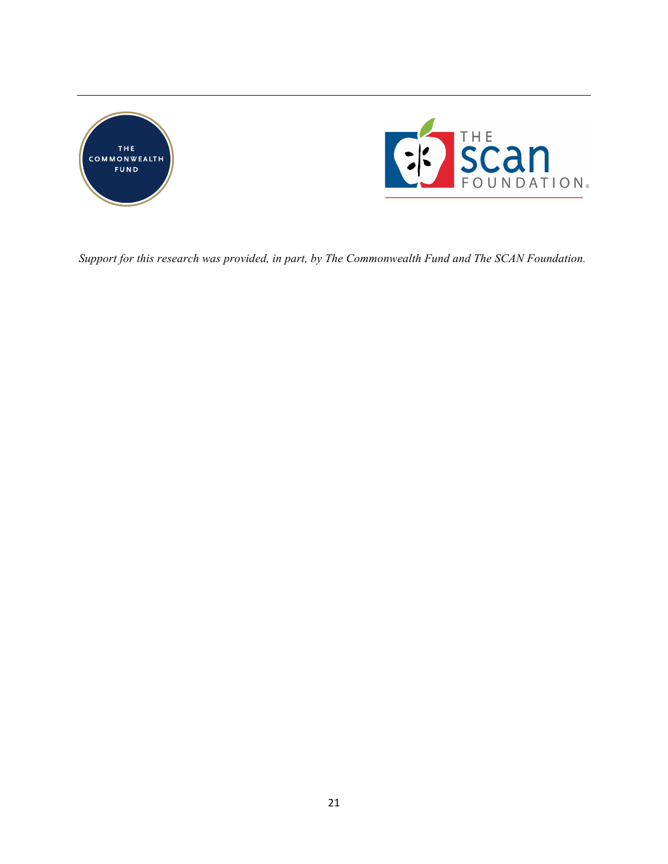



*Support for this research was provided, in part, by The Commonwealth Fund and The SCAN Foundation.*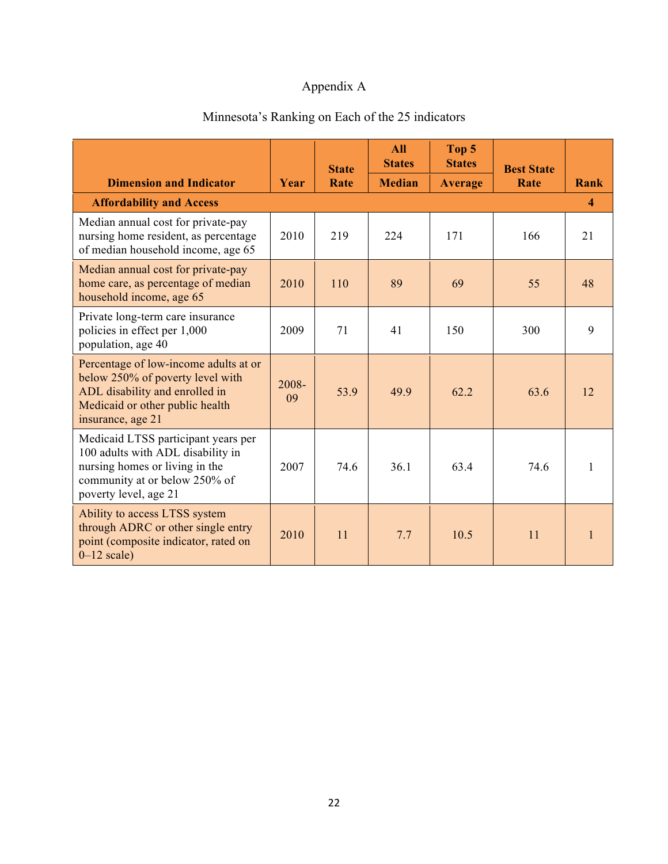# Appendix A

|                                                                                                                                                                      |             | <b>State</b> | <b>All</b><br><b>States</b> | Top 5<br><b>States</b> | <b>Best State</b> |              |
|----------------------------------------------------------------------------------------------------------------------------------------------------------------------|-------------|--------------|-----------------------------|------------------------|-------------------|--------------|
| <b>Dimension and Indicator</b>                                                                                                                                       | Year        | Rate         | <b>Median</b>               | <b>Average</b>         | Rate              | Rank         |
| <b>Affordability and Access</b>                                                                                                                                      |             |              |                             |                        |                   | 4            |
| Median annual cost for private-pay<br>nursing home resident, as percentage<br>of median household income, age 65                                                     | 2010        | 219          | 224                         | 171                    | 166               | 21           |
| Median annual cost for private-pay<br>home care, as percentage of median<br>household income, age 65                                                                 | 2010        | 110          | 89                          | 69                     | 55                | 48           |
| Private long-term care insurance<br>policies in effect per 1,000<br>population, age 40                                                                               | 2009        | 71           | 41                          | 150                    | 300               | 9            |
| Percentage of low-income adults at or<br>below 250% of poverty level with<br>ADL disability and enrolled in<br>Medicaid or other public health<br>insurance, age 21  | 2008-<br>09 | 53.9         | 49.9                        | 62.2                   | 63.6              | 12           |
| Medicaid LTSS participant years per<br>100 adults with ADL disability in<br>nursing homes or living in the<br>community at or below 250% of<br>poverty level, age 21 | 2007        | 74.6         | 36.1                        | 63.4                   | 74.6              | $\mathbf{1}$ |
| Ability to access LTSS system<br>through ADRC or other single entry<br>point (composite indicator, rated on<br>$0-12$ scale)                                         | 2010        | 11           | 7.7                         | 10.5                   | 11                | $\mathbf{1}$ |

# Minnesota's Ranking on Each of the 25 indicators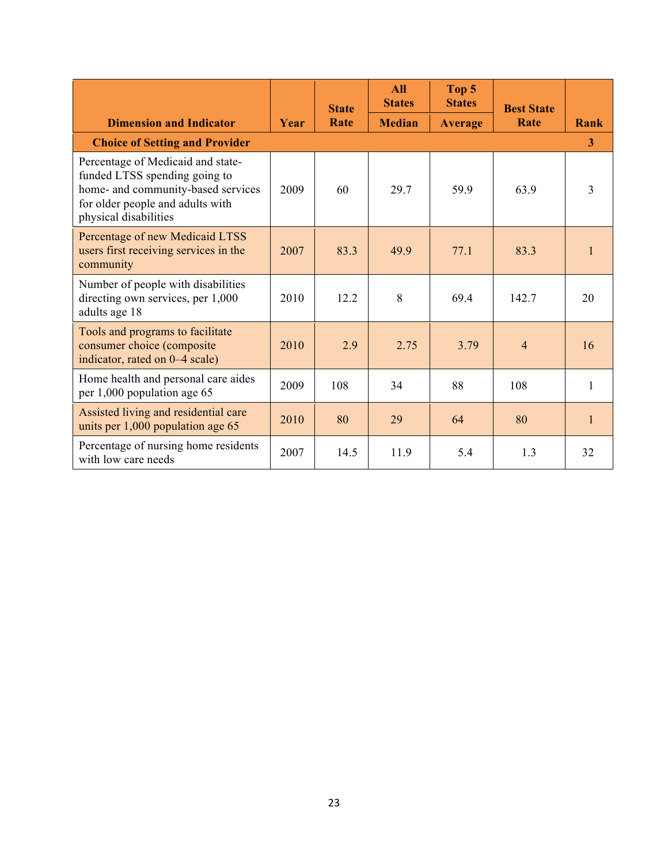|                                                                                                                                                                       |      | <b>State</b> | <b>All</b><br><b>States</b> | Top 5<br><b>States</b> | <b>Best State</b> |              |
|-----------------------------------------------------------------------------------------------------------------------------------------------------------------------|------|--------------|-----------------------------|------------------------|-------------------|--------------|
| <b>Dimension and Indicator</b>                                                                                                                                        | Year | Rate         | <b>Median</b>               | <b>Average</b>         | Rate              | Rank         |
| <b>Choice of Setting and Provider</b>                                                                                                                                 |      |              |                             |                        |                   | 3            |
| Percentage of Medicaid and state-<br>funded LTSS spending going to<br>home- and community-based services<br>for older people and adults with<br>physical disabilities | 2009 | 60           | 29.7                        | 59.9                   | 63.9              | 3            |
| Percentage of new Medicaid LTSS<br>users first receiving services in the<br>community                                                                                 | 2007 | 83.3         | 49.9                        | 77.1                   | 83.3              | 1            |
| Number of people with disabilities<br>directing own services, per 1,000<br>adults age 18                                                                              | 2010 | 12.2         | 8                           | 69.4                   | 142.7             | 20           |
| Tools and programs to facilitate<br>consumer choice (composite<br>indicator, rated on 0–4 scale)                                                                      | 2010 | 2.9          | 2.75                        | 3.79                   | $\overline{4}$    | 16           |
| Home health and personal care aides<br>per 1,000 population age 65                                                                                                    | 2009 | 108          | 34                          | 88                     | 108               | 1            |
| Assisted living and residential care<br>units per $1,000$ population age $65$                                                                                         | 2010 | 80           | 29                          | 64                     | 80                | $\mathbf{1}$ |
| Percentage of nursing home residents<br>with low care needs                                                                                                           | 2007 | 14.5         | 11.9                        | 5.4                    | 1.3               | 32           |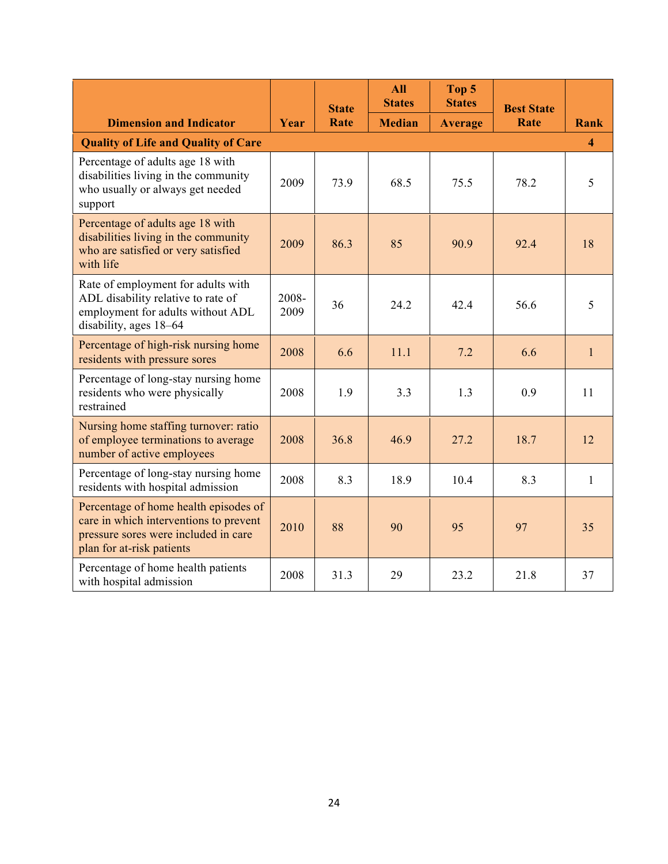|                                                                                                                                                      |               | <b>State</b> | <b>All</b><br><b>States</b> | Top 5<br><b>States</b> | <b>Best State</b> |                          |
|------------------------------------------------------------------------------------------------------------------------------------------------------|---------------|--------------|-----------------------------|------------------------|-------------------|--------------------------|
| <b>Dimension and Indicator</b>                                                                                                                       | Year          | Rate         | <b>Median</b>               | <b>Average</b>         | Rate              | Rank                     |
| <b>Quality of Life and Quality of Care</b>                                                                                                           |               |              |                             |                        |                   | $\boldsymbol{\varDelta}$ |
| Percentage of adults age 18 with<br>disabilities living in the community<br>who usually or always get needed<br>support                              | 2009          | 73.9         | 68.5                        | 75.5                   | 78.2              | 5                        |
| Percentage of adults age 18 with<br>disabilities living in the community<br>who are satisfied or very satisfied<br>with life                         | 2009          | 86.3         | 85                          | 90.9                   | 92.4              | 18                       |
| Rate of employment for adults with<br>ADL disability relative to rate of<br>employment for adults without ADL<br>disability, ages 18-64              | 2008-<br>2009 | 36           | 24.2                        | 42.4                   | 56.6              | 5                        |
| Percentage of high-risk nursing home<br>residents with pressure sores                                                                                | 2008          | 6.6          | 11.1                        | 7.2                    | 6.6               | $\mathbf{1}$             |
| Percentage of long-stay nursing home<br>residents who were physically<br>restrained                                                                  | 2008          | 1.9          | 3.3                         | 1.3                    | 0.9               | 11                       |
| Nursing home staffing turnover: ratio<br>of employee terminations to average<br>number of active employees                                           | 2008          | 36.8         | 46.9                        | 27.2                   | 18.7              | 12                       |
| Percentage of long-stay nursing home<br>residents with hospital admission                                                                            | 2008          | 8.3          | 18.9                        | 10.4                   | 8.3               | $\mathbf{1}$             |
| Percentage of home health episodes of<br>care in which interventions to prevent<br>pressure sores were included in care<br>plan for at-risk patients | 2010          | 88           | 90                          | 95                     | 97                | 35                       |
| Percentage of home health patients<br>with hospital admission                                                                                        | 2008          | 31.3         | 29                          | 23.2                   | 21.8              | 37                       |